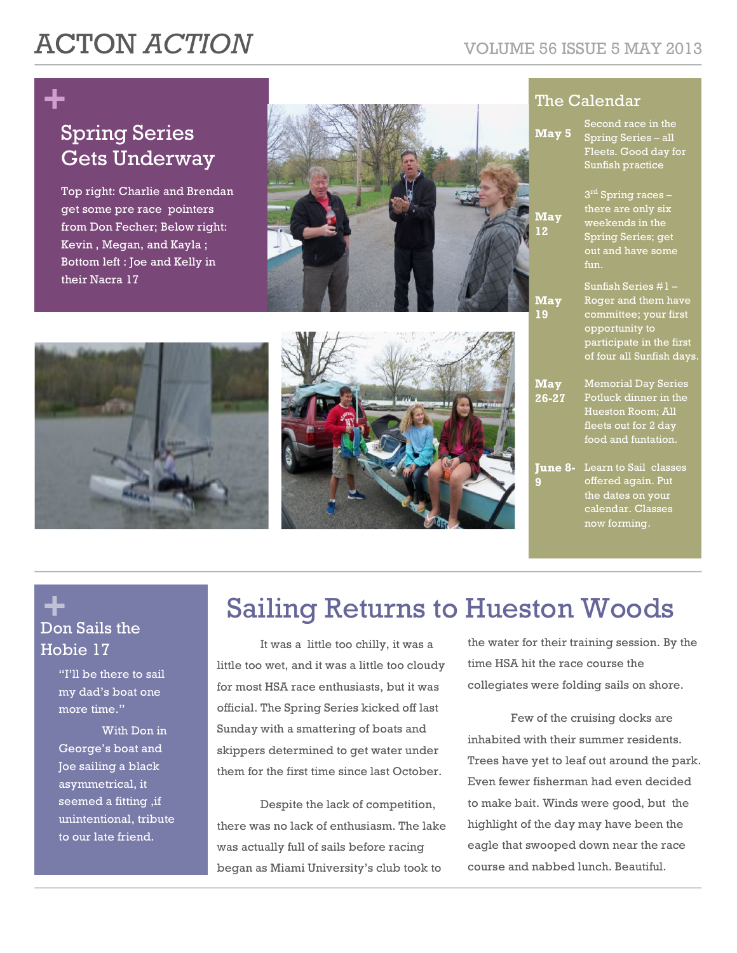# ACTON *ACTION* VOLUME 56 ISSUE 5 MAY 2013

## **+** Spring Series Gets Underway

Top right: Charlie and Brendan get some pre race pointers from Don Fecher; Below right: Kevin , Megan, and Kayla ; Bottom left : Joe and Kelly in their Nacra 17







### The Calendar

Second race in the

| May 5               | Spring Series - all<br>Fleets. Good day for<br>Sunfish practice                                                                                |
|---------------------|------------------------------------------------------------------------------------------------------------------------------------------------|
| May<br>12           | 3 <sup>rd</sup> Spring races -<br>there are only six<br>weekends in the<br>Spring Series; get<br>out and have some<br>fun.                     |
| May<br>19           | Sunfish Series #1 -<br>Roger and them have<br>committee; your first<br>opportunity to<br>participate in the first<br>of four all Sunfish days. |
| May<br>$26 - 27$    | <b>Memorial Day Series</b><br>Potluck dinner in the<br>Hueston Room; All<br>fleets out for 2 day<br>food and funtation.                        |
| <b>June 8-</b><br>9 | Learn to Sail classes<br>offered again. Put<br>the dates on your<br>calendar. Classes<br>now forming.                                          |

### **+** Don Sails the Hobie 17

"I'll be there to sail my dad's boat one more time."

With Don in George's boat and Joe sailing a black asymmetrical, it seemed a fitting ,if unintentional, tribute to our late friend.

## Sailing Returns to Hueston Woods

It was a little too chilly, it was a little too wet, and it was a little too cloudy for most HSA race enthusiasts, but it was official. The Spring Series kicked off last Sunday with a smattering of boats and skippers determined to get water under them for the first time since last October.

Despite the lack of competition, there was no lack of enthusiasm. The lake was actually full of sails before racing began as Miami University's club took to

the water for their training session. By the time HSA hit the race course the collegiates were folding sails on shore.

Few of the cruising docks are inhabited with their summer residents. Trees have yet to leaf out around the park. Even fewer fisherman had even decided to make bait. Winds were good, but the highlight of the day may have been the eagle that swooped down near the race course and nabbed lunch. Beautiful.